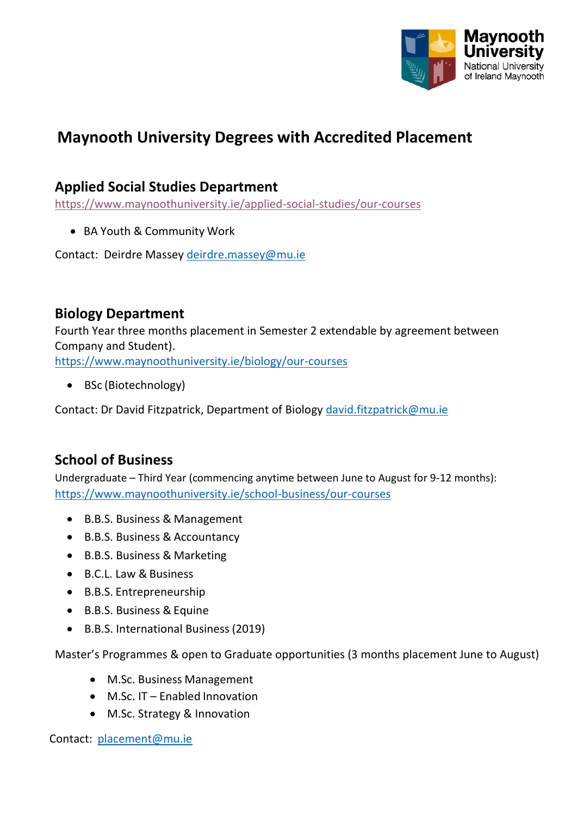

# **Maynooth University Degrees with Accredited Placement**

#### **Applied Social Studies Department**

<https://www.maynoothuniversity.ie/applied-social-studies/our-courses>

BA Youth & Community Work

Contact: Deirdre Massey [deirdre.massey@mu.ie](mailto:deirdre.massey@mu.ie)

#### **Biology Department**

Fourth Year three months placement in Semester 2 extendable by agreement between Company and Student).

<https://www.maynoothuniversity.ie/biology/our-courses>

• BSc (Biotechnology)

Contact: Dr David Fitzpatrick, Department of Biology [david.fitzpatrick@mu.ie](mailto:Biology%20%20%20david.fitzpatrick@mu.ie)

## **School of Business**

Undergraduate – Third Year (commencing anytime between June to August for 9-12 months): <https://www.maynoothuniversity.ie/school-business/our-courses>

- B.B.S. Business & Management
- B.B.S. Business & Accountancy
- B.B.S. Business & Marketing
- B.C.L. Law & Business
- B.B.S. Entrepreneurship
- B.B.S. Business & Equine
- B.B.S. International Business(2019)

Master's Programmes & open to Graduate opportunities (3 months placement June to August)

- M.Sc. Business Management
- M.Sc. IT Enabled Innovation
- M.Sc. Strategy & Innovation

Contact: [placement@mu.ie](mailto:placement@mu.ie)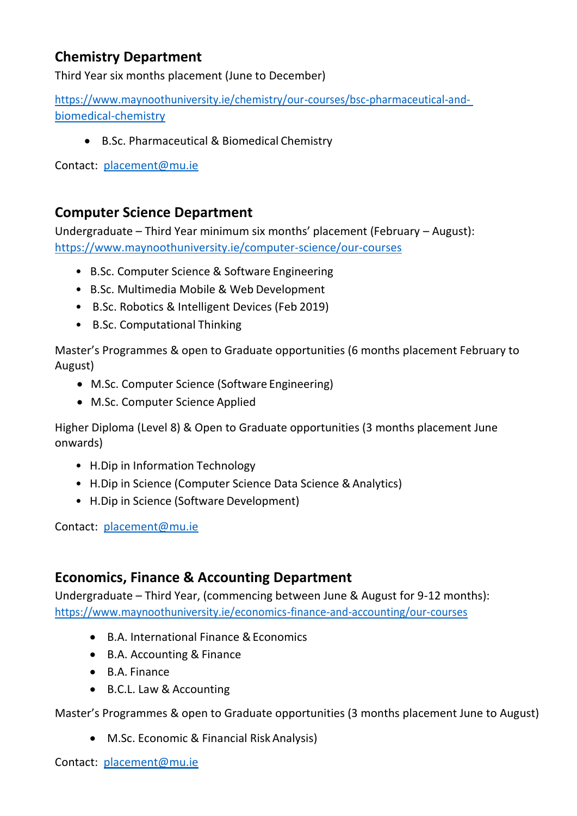# **Chemistry Department**

Third Year six months placement (June to December)

[https://www.maynoothuniversity.ie/chemistry/our-courses/bsc-pharmaceutical-and](https://www.maynoothuniversity.ie/chemistry/our-courses/bsc-pharmaceutical-and-biomedical-chemistry)[biomedical-chemistry](https://www.maynoothuniversity.ie/chemistry/our-courses/bsc-pharmaceutical-and-biomedical-chemistry)

B.Sc. Pharmaceutical & Biomedical Chemistry

Contact: [placement@mu.ie](mailto:placement@mu.ie)

#### **Computer Science Department**

Undergraduate – Third Year minimum six months' placement (February – August): <https://www.maynoothuniversity.ie/computer-science/our-courses>

- B.Sc. Computer Science & Software Engineering
- B.Sc. Multimedia Mobile & Web Development
- B.Sc. Robotics & Intelligent Devices (Feb 2019)
- B.Sc. Computational Thinking

Master's Programmes & open to Graduate opportunities (6 months placement February to August)

- M.Sc. Computer Science (Software Engineering)
- M.Sc. Computer Science Applied

Higher Diploma (Level 8) & Open to Graduate opportunities (3 months placement June onwards)

- H.Dip in Information Technology
- H. Dip in Science (Computer Science Data Science & Analytics)
- H.Dip in Science (Software Development)

Contact: [placement@mu.ie](mailto:placement@mu.ie)

## **Economics, Finance & Accounting Department**

Undergraduate – Third Year, (commencing between June & August for 9-12 months): <https://www.maynoothuniversity.ie/economics-finance-and-accounting/our-courses>

- B.A. International Finance & Economics
- B.A. Accounting & Finance
- B.A. Finance
- B.C.L. Law & Accounting

Master's Programmes & open to Graduate opportunities (3 months placement June to August)

- M.Sc. Economic & Financial Risk Analysis)
- Contact: [placement@mu.ie](mailto:placement@mu.ie)